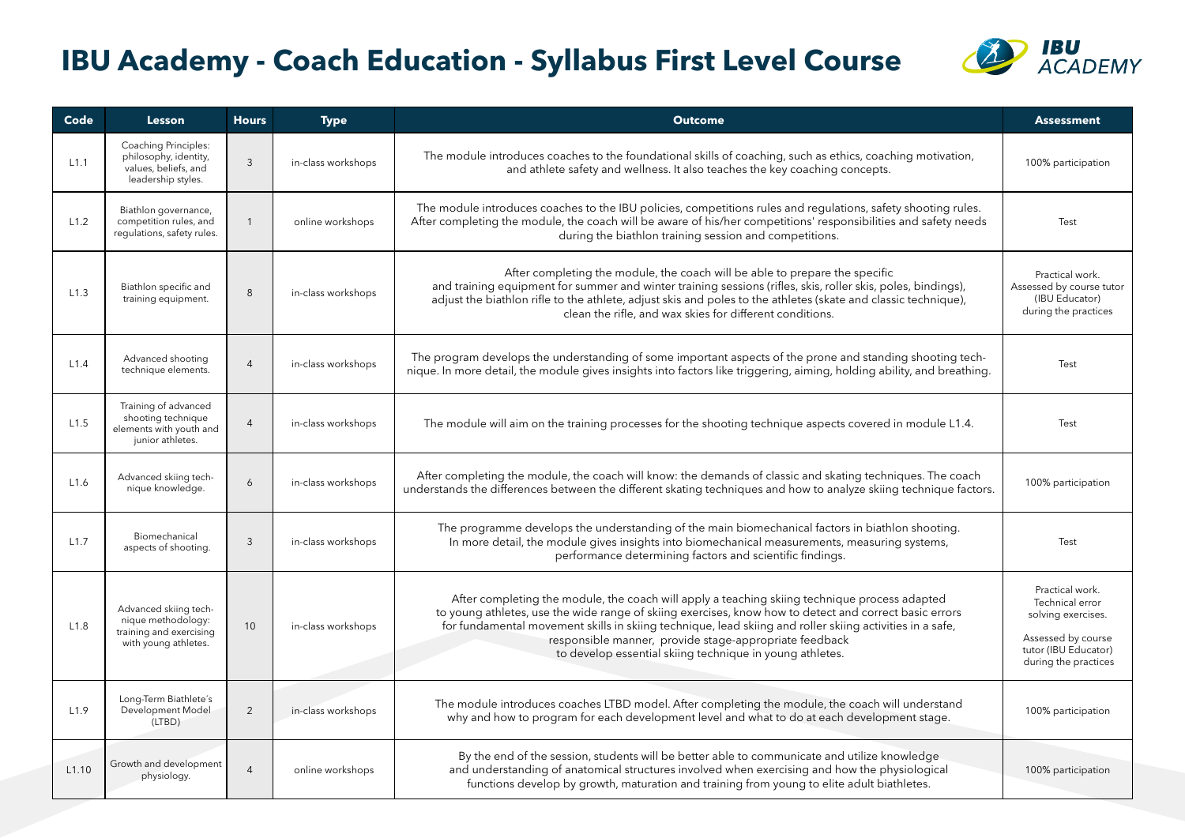| Code  | <b>Lesson</b>                                                                                      | <b>Hours</b>   | <b>Type</b>        | <b>Outcome</b>                                                                                                                                                                                                                                                                                                                                                                                                                            | <b>Assessment</b>                                                                                                              |
|-------|----------------------------------------------------------------------------------------------------|----------------|--------------------|-------------------------------------------------------------------------------------------------------------------------------------------------------------------------------------------------------------------------------------------------------------------------------------------------------------------------------------------------------------------------------------------------------------------------------------------|--------------------------------------------------------------------------------------------------------------------------------|
| L1.1  | <b>Coaching Principles:</b><br>philosophy, identity,<br>values, beliefs, and<br>leadership styles. | $\mathbf{3}$   | in-class workshops | The module introduces coaches to the foundational skills of coaching, such as ethics, coaching motivation,<br>and athlete safety and wellness. It also teaches the key coaching concepts.                                                                                                                                                                                                                                                 | 100% participation                                                                                                             |
| L1.2  | Biathlon governance,<br>competition rules, and<br>regulations, safety rules.                       |                | online workshops   | The module introduces coaches to the IBU policies, competitions rules and regulations, safety shooting rules.<br>After completing the module, the coach will be aware of his/her competitions' responsibilities and safety needs<br>during the biathlon training session and competitions.                                                                                                                                                | Test                                                                                                                           |
| L1.3  | Biathlon specific and<br>training equipment.                                                       | 8              | in-class workshops | After completing the module, the coach will be able to prepare the specific<br>and training equipment for summer and winter training sessions (rifles, skis, roller skis, poles, bindings),<br>adjust the biathlon rifle to the athlete, adjust skis and poles to the athletes (skate and classic technique),<br>clean the rifle, and wax skies for different conditions.                                                                 | Practical work.<br>Assessed by course tutor<br>(IBU Educator)<br>during the practices                                          |
| L1.4  | Advanced shooting<br>technique elements.                                                           | $\overline{4}$ | in-class workshops | The program develops the understanding of some important aspects of the prone and standing shooting tech-<br>nique. In more detail, the module gives insights into factors like triggering, aiming, holding ability, and breathing.                                                                                                                                                                                                       | Test                                                                                                                           |
| L1.5  | Training of advanced<br>shooting technique<br>elements with youth and<br>junior athletes.          | $\overline{4}$ | in-class workshops | The module will aim on the training processes for the shooting technique aspects covered in module L1.4.                                                                                                                                                                                                                                                                                                                                  | Test                                                                                                                           |
| L1.6  | Advanced skiing tech-<br>nique knowledge.                                                          | 6              | in-class workshops | After completing the module, the coach will know: the demands of classic and skating techniques. The coach<br>understands the differences between the different skating techniques and how to analyze skiing technique factors.                                                                                                                                                                                                           | 100% participation                                                                                                             |
| L1.7  | Biomechanical<br>aspects of shooting.                                                              | $\mathcal{S}$  | in-class workshops | The programme develops the understanding of the main biomechanical factors in biathlon shooting.<br>In more detail, the module gives insights into biomechanical measurements, measuring systems,<br>performance determining factors and scientific findings.                                                                                                                                                                             | Test                                                                                                                           |
| L1.8  | Advanced skiing tech-<br>nique methodology:<br>training and exercising<br>with young athletes.     | 10             | in-class workshops | After completing the module, the coach will apply a teaching skiing technique process adapted<br>to young athletes, use the wide range of skiing exercises, know how to detect and correct basic errors<br>for fundamental movement skills in skiing technique, lead skiing and roller skiing activities in a safe,<br>responsible manner, provide stage-appropriate feedback<br>to develop essential skiing technique in young athletes. | Practical work.<br>Technical error<br>solving exercises.<br>Assessed by course<br>tutor (IBU Educator)<br>during the practices |
| L1.9  | Long-Term Biathlete's<br>Development Model<br>(LTBD)                                               | $\overline{2}$ | in-class workshops | The module introduces coaches LTBD model. After completing the module, the coach will understand<br>why and how to program for each development level and what to do at each development stage.                                                                                                                                                                                                                                           | 100% participation                                                                                                             |
| L1.10 | Growth and development<br>physiology.                                                              | $\overline{4}$ | online workshops   | By the end of the session, students will be better able to communicate and utilize knowledge<br>and understanding of anatomical structures involved when exercising and how the physiological<br>functions develop by growth, maturation and training from young to elite adult biathletes.                                                                                                                                               | 100% participation                                                                                                             |





## **IBU Academy - Coach Education - Syllabus First Level Course**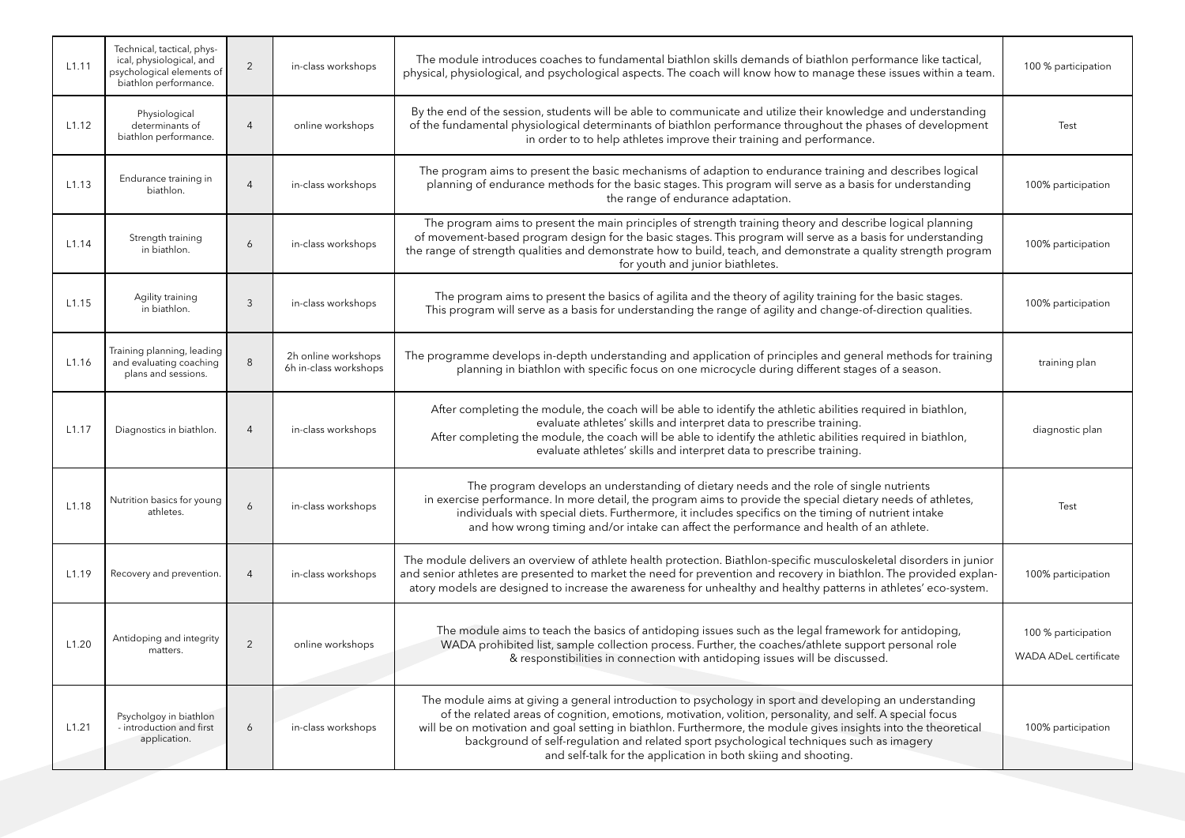| L1.11 | Technical, tactical, phys-<br>ical, physiological, and<br>psychological elements of<br>biathlon performance. | $\overline{2}$ | in-class workshops                           | The module introduces coaches to fundamental biathlon skills demands of biathlon performance like tactical,<br>physical, physiological, and psychological aspects. The coach will know how to manage these issues within a team.                                                                                                                                                                                                                                                                      | 100 % participation                                 |
|-------|--------------------------------------------------------------------------------------------------------------|----------------|----------------------------------------------|-------------------------------------------------------------------------------------------------------------------------------------------------------------------------------------------------------------------------------------------------------------------------------------------------------------------------------------------------------------------------------------------------------------------------------------------------------------------------------------------------------|-----------------------------------------------------|
| L1.12 | Physiological<br>determinants of<br>biathlon performance.                                                    | $\overline{4}$ | online workshops                             | By the end of the session, students will be able to communicate and utilize their knowledge and understanding<br>of the fundamental physiological determinants of biathlon performance throughout the phases of development<br>in order to to help athletes improve their training and performance.                                                                                                                                                                                                   | Test                                                |
| L1.13 | Endurance training in<br>biathlon.                                                                           | $\overline{4}$ | in-class workshops                           | The program aims to present the basic mechanisms of adaption to endurance training and describes logical<br>planning of endurance methods for the basic stages. This program will serve as a basis for understanding<br>the range of endurance adaptation.                                                                                                                                                                                                                                            | 100% participation                                  |
| L1.14 | Strength training<br>in biathlon.                                                                            | 6              | in-class workshops                           | The program aims to present the main principles of strength training theory and describe logical planning<br>of movement-based program design for the basic stages. This program will serve as a basis for understanding<br>the range of strength qualities and demonstrate how to build, teach, and demonstrate a quality strength program<br>for youth and junior biathletes.                                                                                                                       | 100% participation                                  |
| L1.15 | Agility training<br>in biathlon.                                                                             | $\overline{3}$ | in-class workshops                           | The program aims to present the basics of agilita and the theory of agility training for the basic stages.<br>This program will serve as a basis for understanding the range of agility and change-of-direction qualities.                                                                                                                                                                                                                                                                            | 100% participation                                  |
| L1.16 | Training planning, leading<br>and evaluating coaching<br>plans and sessions.                                 | 8              | 2h online workshops<br>6h in-class workshops | The programme develops in-depth understanding and application of principles and general methods for training<br>planning in biathlon with specific focus on one microcycle during different stages of a season.                                                                                                                                                                                                                                                                                       | training plan                                       |
| L1.17 | Diagnostics in biathlon.                                                                                     | $\overline{4}$ | in-class workshops                           | After completing the module, the coach will be able to identify the athletic abilities required in biathlon,<br>evaluate athletes' skills and interpret data to prescribe training.<br>After completing the module, the coach will be able to identify the athletic abilities required in biathlon,<br>evaluate athletes' skills and interpret data to prescribe training.                                                                                                                            | diagnostic plan                                     |
| L1.18 | Nutrition basics for young<br>athletes.                                                                      | 6              | in-class workshops                           | The program develops an understanding of dietary needs and the role of single nutrients<br>in exercise performance. In more detail, the program aims to provide the special dietary needs of athletes,<br>individuals with special diets. Furthermore, it includes specifics on the timing of nutrient intake<br>and how wrong timing and/or intake can affect the performance and health of an athlete.                                                                                              | Test                                                |
| L1.19 | Recovery and prevention.                                                                                     | 4              | in-class workshops                           | The module delivers an overview of athlete health protection. Biathlon-specific musculoskeletal disorders in junior<br>and senior athletes are presented to market the need for prevention and recovery in biathlon. The provided explan-<br>atory models are designed to increase the awareness for unhealthy and healthy patterns in athletes' eco-system.                                                                                                                                          | 100% participation                                  |
| L1.20 | Antidoping and integrity<br>matters.                                                                         | 2              | online workshops                             | The module aims to teach the basics of antidoping issues such as the legal framework for antidoping,<br>WADA prohibited list, sample collection process. Further, the coaches/athlete support personal role<br>& responstibilities in connection with antidoping issues will be discussed.                                                                                                                                                                                                            | 100 % participation<br><b>WADA ADeL certificate</b> |
| L1.21 | Psycholgoy in biathlon<br>- introduction and first<br>application.                                           | 6              | in-class workshops                           | The module aims at giving a general introduction to psychology in sport and developing an understanding<br>of the related areas of cognition, emotions, motivation, volition, personality, and self. A special focus<br>will be on motivation and goal setting in biathlon. Furthermore, the module gives insights into the theoretical<br>background of self-regulation and related sport psychological techniques such as imagery<br>and self-talk for the application in both skiing and shooting. | 100% participation                                  |